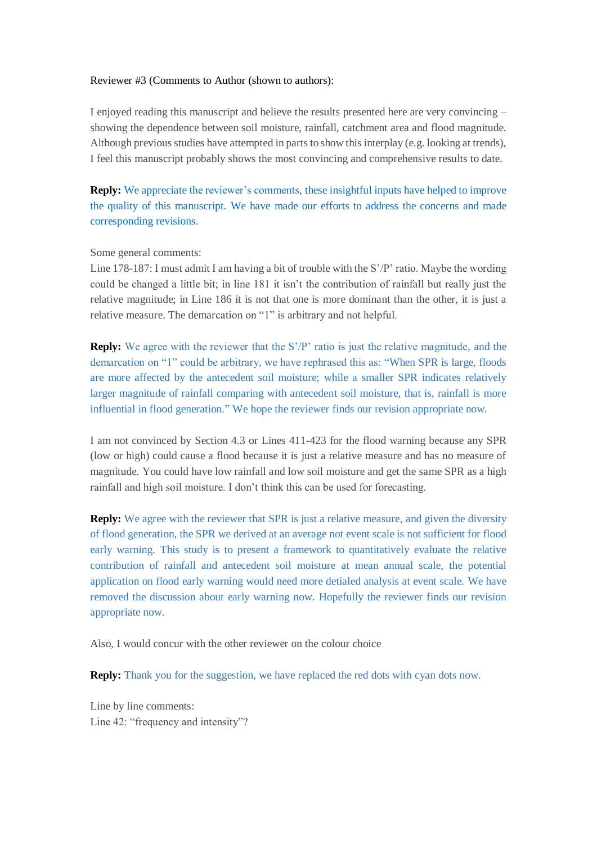## Reviewer #3 (Comments to Author (shown to authors):

I enjoyed reading this manuscript and believe the results presented here are very convincing – showing the dependence between soil moisture, rainfall, catchment area and flood magnitude. Although previous studies have attempted in parts to show this interplay (e.g. looking at trends), I feel this manuscript probably shows the most convincing and comprehensive results to date.

**Reply:** We appreciate the reviewer's comments, these insightful inputs have helped to improve the quality of this manuscript. We have made our efforts to address the concerns and made corresponding revisions.

## Some general comments:

Line 178-187: I must admit I am having a bit of trouble with the S'/P' ratio. Maybe the wording could be changed a little bit; in line 181 it isn't the contribution of rainfall but really just the relative magnitude; in Line 186 it is not that one is more dominant than the other, it is just a relative measure. The demarcation on "1" is arbitrary and not helpful.

**Reply:** We agree with the reviewer that the S'/P' ratio is just the relative magnitude, and the demarcation on "1" could be arbitrary, we have rephrased this as: "When SPR is large, floods are more affected by the antecedent soil moisture; while a smaller SPR indicates relatively larger magnitude of rainfall comparing with antecedent soil moisture, that is, rainfall is more influential in flood generation." We hope the reviewer finds our revision appropriate now.

I am not convinced by Section 4.3 or Lines 411-423 for the flood warning because any SPR (low or high) could cause a flood because it is just a relative measure and has no measure of magnitude. You could have low rainfall and low soil moisture and get the same SPR as a high rainfall and high soil moisture. I don't think this can be used for forecasting.

**Reply:** We agree with the reviewer that SPR is just a relative measure, and given the diversity of flood generation, the SPR we derived at an average not event scale is not sufficient for flood early warning. This study is to present a framework to quantitatively evaluate the relative contribution of rainfall and antecedent soil moisture at mean annual scale, the potential application on flood early warning would need more detialed analysis at event scale. We have removed the discussion about early warning now. Hopefully the reviewer finds our revision appropriate now.

Also, I would concur with the other reviewer on the colour choice

**Reply:** Thank you for the suggestion, we have replaced the red dots with cyan dots now.

Line by line comments: Line 42: "frequency and intensity"?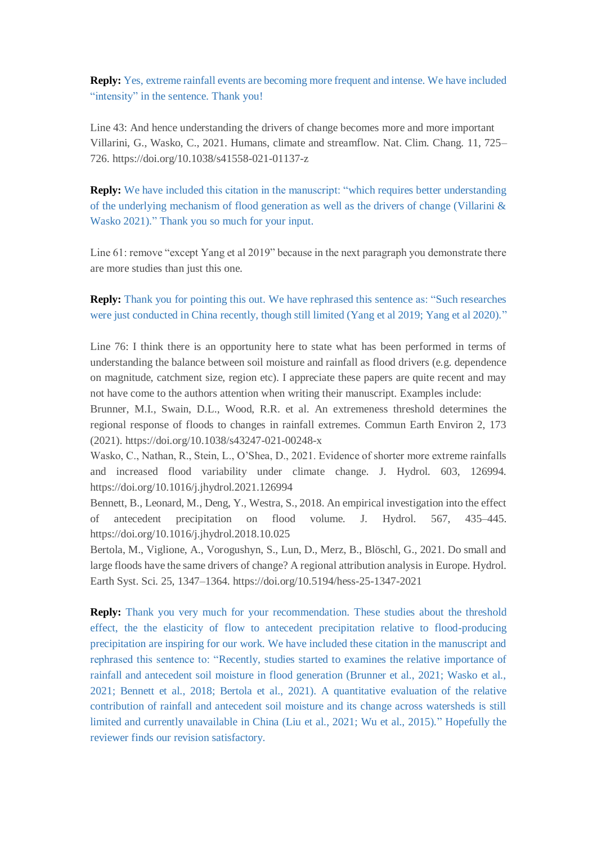**Reply:** Yes, extreme rainfall events are becoming more frequent and intense. We have included "intensity" in the sentence. Thank you!

Line 43: And hence understanding the drivers of change becomes more and more important Villarini, G., Wasko, C., 2021. Humans, climate and streamflow. Nat. Clim. Chang. 11, 725– 726. https://doi.org/10.1038/s41558-021-01137-z

**Reply:** We have included this citation in the manuscript: "which requires better understanding of the underlying mechanism of flood generation as well as the drivers of change (Villarini  $\&$ Wasko 2021)." Thank you so much for your input.

Line 61: remove "except Yang et al 2019" because in the next paragraph you demonstrate there are more studies than just this one.

**Reply:** Thank you for pointing this out. We have rephrased this sentence as: "Such researches were just conducted in China recently, though still limited (Yang et al 2019; Yang et al 2020)."

Line 76: I think there is an opportunity here to state what has been performed in terms of understanding the balance between soil moisture and rainfall as flood drivers (e.g. dependence on magnitude, catchment size, region etc). I appreciate these papers are quite recent and may not have come to the authors attention when writing their manuscript. Examples include:

Brunner, M.I., Swain, D.L., Wood, R.R. et al. An extremeness threshold determines the regional response of floods to changes in rainfall extremes. Commun Earth Environ 2, 173 (2021). https://doi.org/10.1038/s43247-021-00248-x

Wasko, C., Nathan, R., Stein, L., O'Shea, D., 2021. Evidence of shorter more extreme rainfalls and increased flood variability under climate change. J. Hydrol. 603, 126994. https://doi.org/10.1016/j.jhydrol.2021.126994

Bennett, B., Leonard, M., Deng, Y., Westra, S., 2018. An empirical investigation into the effect of antecedent precipitation on flood volume. J. Hydrol. 567, 435–445. https://doi.org/10.1016/j.jhydrol.2018.10.025

Bertola, M., Viglione, A., Vorogushyn, S., Lun, D., Merz, B., Blöschl, G., 2021. Do small and large floods have the same drivers of change? A regional attribution analysis in Europe. Hydrol. Earth Syst. Sci. 25, 1347–1364.<https://doi.org/10.5194/hess-25-1347-2021>

**Reply:** Thank you very much for your recommendation. These studies about the threshold effect, the the elasticity of flow to antecedent precipitation relative to flood-producing precipitation are inspiring for our work. We have included these citation in the manuscript and rephrased this sentence to: "Recently, studies started to examines the relative importance of rainfall and antecedent soil moisture in flood generation (Brunner et al., 2021; Wasko et al., 2021; Bennett et al., 2018; Bertola et al., 2021). A quantitative evaluation of the relative contribution of rainfall and antecedent soil moisture and its change across watersheds is still limited and currently unavailable in China (Liu et al., 2021; Wu et al., 2015)." Hopefully the reviewer finds our revision satisfactory.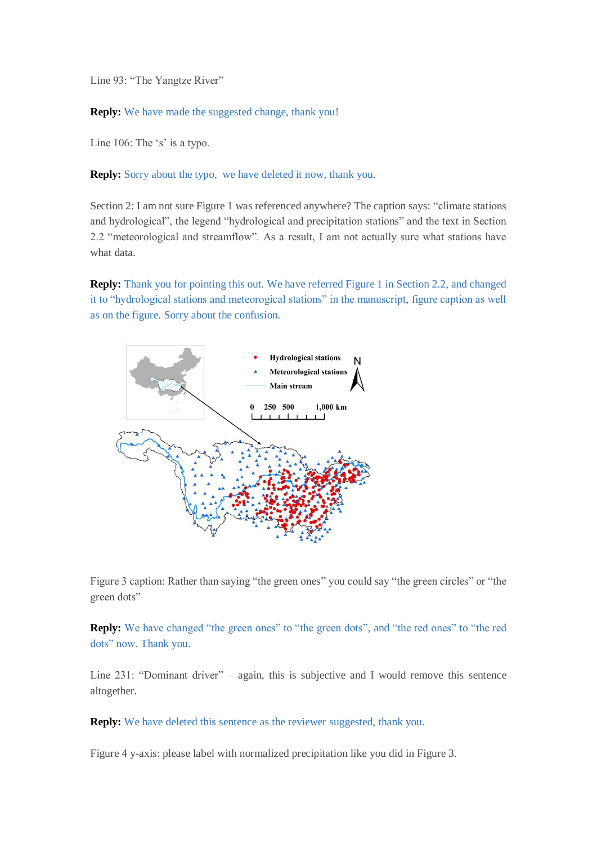Line 93: "The Yangtze River"

**Reply:** We have made the suggested change, thank you!

Line 106: The 's' is a typo.

**Reply:** Sorry about the typo, we have deleted it now, thank you.

Section 2: I am not sure Figure 1 was referenced anywhere? The caption says: "climate stations and hydrological", the legend "hydrological and precipitation stations" and the text in Section 2.2 "meteorological and streamflow". As a result, I am not actually sure what stations have what data.

**Reply:** Thank you for pointing this out. We have referred Figure 1 in Section 2.2, and changed it to "hydrological stations and meteorogical stations" in the manuscript, figure caption as well as on the figure. Sorry about the confusion.



Figure 3 caption: Rather than saying "the green ones" you could say "the green circles" or "the green dots"

**Reply:** We have changed "the green ones" to "the green dots", and "the red ones" to "the red dots" now. Thank you.

Line 231: "Dominant driver" – again, this is subjective and I would remove this sentence altogether.

**Reply:** We have deleted this sentence as the reviewer suggested, thank you.

Figure 4 y-axis: please label with normalized precipitation like you did in Figure 3.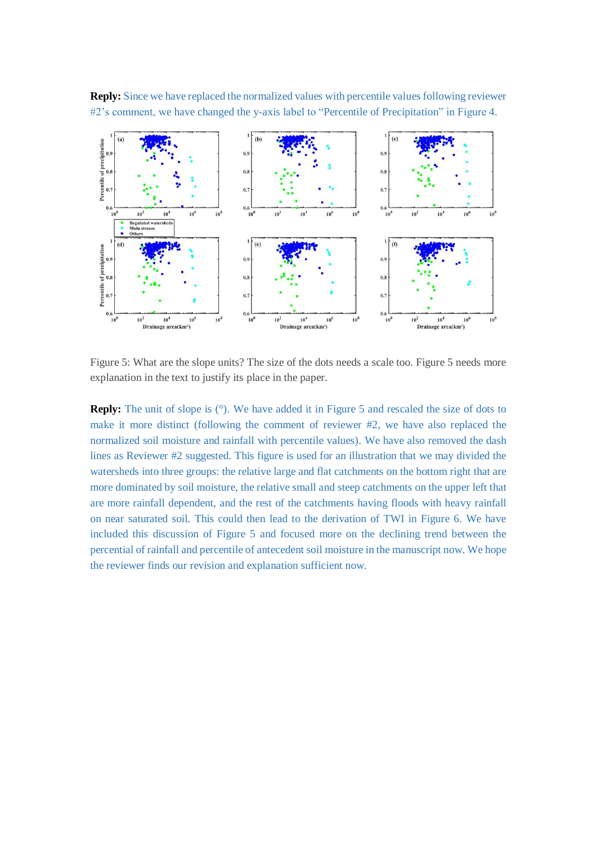**Reply:** Since we have replaced the normalized values with percentile values following reviewer #2's comment, we have changed the y-axis label to "Percentile of Precipitation" in Figure 4.



Figure 5: What are the slope units? The size of the dots needs a scale too. Figure 5 needs more explanation in the text to justify its place in the paper.

**Reply:** The unit of slope is (°). We have added it in Figure 5 and rescaled the size of dots to make it more distinct (following the comment of reviewer #2, we have also replaced the normalized soil moisture and rainfall with percentile values). We have also removed the dash lines as Reviewer #2 suggested. This figure is used for an illustration that we may divided the watersheds into three groups: the relative large and flat catchments on the bottom right that are more dominated by soil moisture, the relative small and steep catchments on the upper left that are more rainfall dependent, and the rest of the catchments having floods with heavy rainfall on near saturated soil. This could then lead to the derivation of TWI in Figure 6. We have included this discussion of Figure 5 and focused more on the declining trend between the percential of rainfall and percentile of antecedent soil moisture in the manuscript now. We hope the reviewer finds our revision and explanation sufficient now.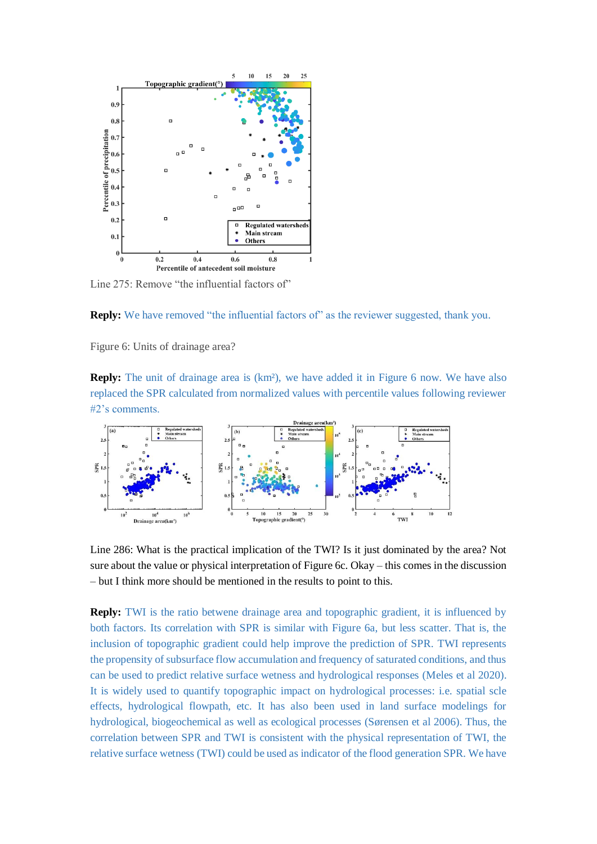

Line 275: Remove "the influential factors of"

**Reply:** We have removed "the influential factors of" as the reviewer suggested, thank you.

Figure 6: Units of drainage area?

**Reply:** The unit of drainage area is (km<sup>2</sup>), we have added it in Figure 6 now. We have also replaced the SPR calculated from normalized values with percentile values following reviewer #2's comments.



Line 286: What is the practical implication of the TWI? Is it just dominated by the area? Not sure about the value or physical interpretation of Figure 6c. Okay – this comes in the discussion – but I think more should be mentioned in the results to point to this.

**Reply:** TWI is the ratio betwene drainage area and topographic gradient, it is influenced by both factors. Its correlation with SPR is similar with Figure 6a, but less scatter. That is, the inclusion of topographic gradient could help improve the prediction of SPR. TWI represents the propensity of subsurface flow accumulation and frequency of saturated conditions, and thus can be used to predict relative surface wetness and hydrological responses (Meles et al 2020). It is widely used to quantify topographic impact on hydrological processes: i.e. spatial scle effects, hydrological flowpath, etc. It has also been used in land surface modelings for hydrological, biogeochemical as well as ecological processes (Sørensen et al 2006). Thus, the correlation between SPR and TWI is consistent with the physical representation of TWI, the relative surface wetness (TWI) could be used as indicator of the flood generation SPR. We have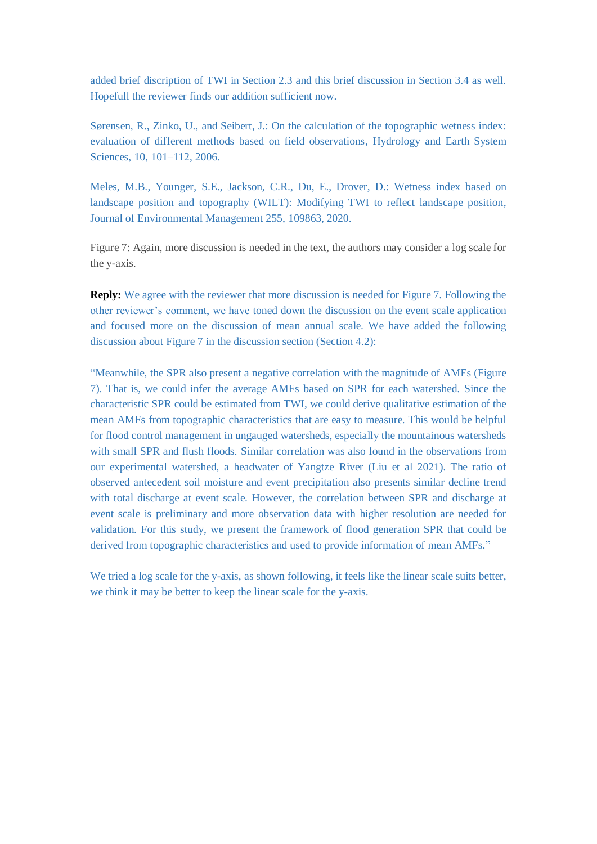added brief discription of TWI in Section 2.3 and this brief discussion in Section 3.4 as well. Hopefull the reviewer finds our addition sufficient now.

Sørensen, R., Zinko, U., and Seibert, J.: On the calculation of the topographic wetness index: evaluation of different methods based on field observations, Hydrology and Earth System Sciences, 10, 101–112, 2006.

Meles, M.B., Younger, S.E., Jackson, C.R., Du, E., Drover, D.: Wetness index based on landscape position and topography (WILT): Modifying TWI to reflect landscape position, Journal of Environmental Management 255, 109863, 2020.

Figure 7: Again, more discussion is needed in the text, the authors may consider a log scale for the y-axis.

**Reply:** We agree with the reviewer that more discussion is needed for Figure 7. Following the other reviewer's comment, we have toned down the discussion on the event scale application and focused more on the discussion of mean annual scale. We have added the following discussion about Figure 7 in the discussion section (Section 4.2):

"Meanwhile, the SPR also present a negative correlation with the magnitude of AMFs (Figure 7). That is, we could infer the average AMFs based on SPR for each watershed. Since the characteristic SPR could be estimated from TWI, we could derive qualitative estimation of the mean AMFs from topographic characteristics that are easy to measure. This would be helpful for flood control management in ungauged watersheds, especially the mountainous watersheds with small SPR and flush floods. Similar correlation was also found in the observations from our experimental watershed, a headwater of Yangtze River (Liu et al 2021). The ratio of observed antecedent soil moisture and event precipitation also presents similar decline trend with total discharge at event scale. However, the correlation between SPR and discharge at event scale is preliminary and more observation data with higher resolution are needed for validation. For this study, we present the framework of flood generation SPR that could be derived from topographic characteristics and used to provide information of mean AMFs."

We tried a log scale for the y-axis, as shown following, it feels like the linear scale suits better, we think it may be better to keep the linear scale for the y-axis.